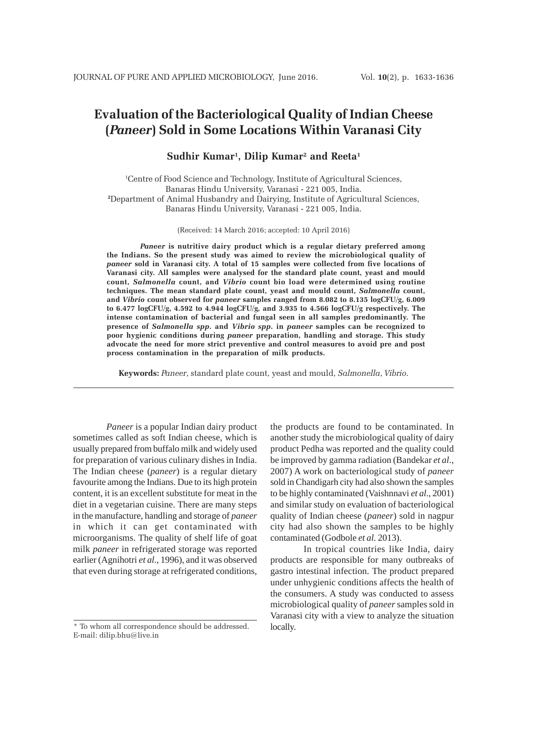# **Evaluation of the Bacteriological Quality of Indian Cheese (***Paneer***) Sold in Some Locations Within Varanasi City**

**Sudhir Kumar1, Dilip Kumar2 and Reeta1**

1 Centre of Food Science and Technology, Institute of Agricultural Sciences, Banaras Hindu University, Varanasi - 221 005, India. **2** Department of Animal Husbandry and Dairying, Institute of Agricultural Sciences, Banaras Hindu University, Varanasi - 221 005, India.

(Received: 14 March 2016; accepted: 10 April 2016)

*Paneer* **is nutritive dairy product which is a regular dietary preferred among the Indians. So the present study was aimed to review the microbiological quality of** *paneer* **sold in Varanasi city. A total of 15 samples were collected from five locations of Varanasi city. All samples were analysed for the standard plate count, yeast and mould count,** *Salmonella* **count, and** *Vibrio* **count bio load were determined using routine techniques. The mean standard plate count, yeast and mould count,** *Salmonella* **count, and** *Vibrio* **count observed for** *paneer* **samples ranged from 8.082 to 8.135 logCFU/g, 6.009 to 6.477 logCFU/g, 4.592 to 4.944 logCFU/g, and 3.935 to 4.566 logCFU/g respectively. The intense contamination of bacterial and fungal seen in all samples predominantly. The presence of** *Salmonella spp***. and** *Vibrio spp***. in** *paneer* **samples can be recognized to poor hygienic conditions during** *paneer* **preparation, handling and storage. This study advocate the need for more strict preventive and control measures to avoid pre and post process contamination in the preparation of milk products.**

**Keywords:** *Paneer*, standard plate count, yeast and mould, *Salmonella*, *Vibrio*.

*Paneer* is a popular Indian dairy product sometimes called as soft Indian cheese, which is usually prepared from buffalo milk and widely used for preparation of various culinary dishes in India. The Indian cheese (*paneer*) is a regular dietary favourite among the Indians. Due to its high protein content, it is an excellent substitute for meat in the diet in a vegetarian cuisine. There are many steps in the manufacture, handling and storage of *paneer* in which it can get contaminated with microorganisms. The quality of shelf life of goat milk *paneer* in refrigerated storage was reported earlier (Agnihotri *et al*., 1996), and it was observed that even during storage at refrigerated conditions,

the products are found to be contaminated. In another study the microbiological quality of dairy product Pedha was reported and the quality could be improved by gamma radiation (Bandekar *et al*., 2007) A work on bacteriological study of *paneer* sold in Chandigarh city had also shown the samples to be highly contaminated (Vaishnnavi *et al*., 2001) and similar study on evaluation of bacteriological quality of Indian cheese (*paneer*) sold in nagpur city had also shown the samples to be highly contaminated (Godbole *et al.* 2013).

In tropical countries like India, dairy products are responsible for many outbreaks of gastro intestinal infection. The product prepared under unhygienic conditions affects the health of the consumers. A study was conducted to assess microbiological quality of *paneer* samples sold in Varanasi city with a view to analyze the situation locally.

<sup>\*</sup> To whom all correspondence should be addressed. E-mail: dilip.bhu@live.in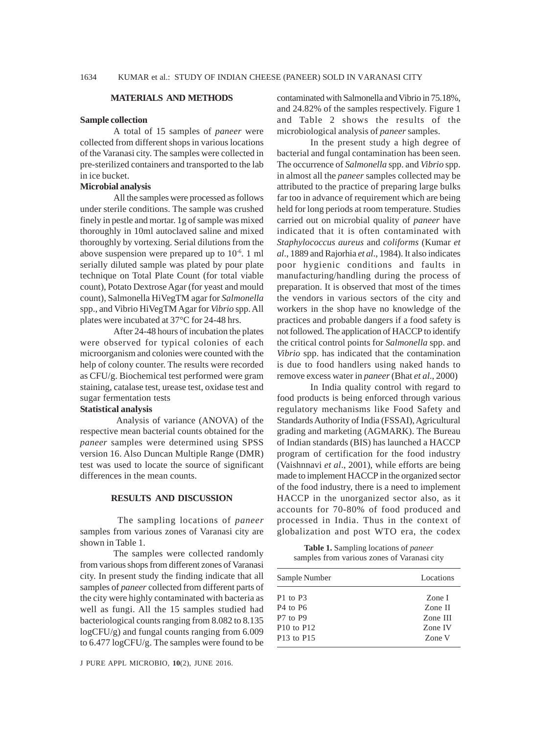#### **MATERIALS AND METHODS**

#### **Sample collection**

A total of 15 samples of *paneer* were collected from different shops in various locations of the Varanasi city. The samples were collected in pre-sterilized containers and transported to the lab in ice bucket.

#### **Microbial analysis**

All the samples were processed as follows under sterile conditions. The sample was crushed finely in pestle and mortar. 1g of sample was mixed thoroughly in 10ml autoclaved saline and mixed thoroughly by vortexing. Serial dilutions from the above suspension were prepared up to 10-6. 1 ml serially diluted sample was plated by pour plate technique on Total Plate Count (for total viable count), Potato Dextrose Agar (for yeast and mould count), Salmonella HiVegTM agar for *Salmonella* spp., and Vibrio HiVegTM Agar for *Vibrio* spp. All plates were incubated at 37°C for 24-48 hrs.

After 24-48 hours of incubation the plates were observed for typical colonies of each microorganism and colonies were counted with the help of colony counter. The results were recorded as CFU/g. Biochemical test performed were gram staining, catalase test, urease test, oxidase test and sugar fermentation tests

# **Statistical analysis**

 Analysis of variance (ANOVA) of the respective mean bacterial counts obtained for the *paneer* samples were determined using SPSS version 16. Also Duncan Multiple Range (DMR) test was used to locate the source of significant differences in the mean counts.

## **RESULTS AND DISCUSSION**

 The sampling locations of *paneer* samples from various zones of Varanasi city are shown in Table 1.

The samples were collected randomly from various shops from different zones of Varanasi city. In present study the finding indicate that all samples of *paneer* collected from different parts of the city were highly contaminated with bacteria as well as fungi. All the 15 samples studied had bacteriological counts ranging from 8.082 to 8.135 logCFU/g) and fungal counts ranging from 6.009 to 6.477 logCFU/g. The samples were found to be contaminated with Salmonella and Vibrio in 75.18%, and 24.82% of the samples respectively. Figure 1 and Table 2 shows the results of the microbiological analysis of *paneer* samples.

In the present study a high degree of bacterial and fungal contamination has been seen. The occurrence of *Salmonella* spp. and *Vibrio* spp. in almost all the *paneer* samples collected may be attributed to the practice of preparing large bulks far too in advance of requirement which are being held for long periods at room temperature. Studies carried out on microbial quality of *paneer* have indicated that it is often contaminated with *Staphylococcus aureus* and *coliforms* (Kumar *et al*., 1889 and Rajorhia *et al*., 1984). It also indicates poor hygienic conditions and faults in manufacturing/handling during the process of preparation. It is observed that most of the times the vendors in various sectors of the city and workers in the shop have no knowledge of the practices and probable dangers if a food safety is not followed. The application of HACCP to identify the critical control points for *Salmonella* spp. and *Vibrio* spp. has indicated that the contamination is due to food handlers using naked hands to remove excess water in *paneer* (Bhat *et al*., 2000)

In India quality control with regard to food products is being enforced through various regulatory mechanisms like Food Safety and Standards Authority of India (FSSAI), Agricultural grading and marketing (AGMARK). The Bureau of Indian standards (BIS) has launched a HACCP program of certification for the food industry (Vaishnnavi *et al*., 2001), while efforts are being made to implement HACCP in the organized sector of the food industry, there is a need to implement HACCP in the unorganized sector also, as it accounts for 70-80% of food produced and processed in India. Thus in the context of globalization and post WTO era, the codex

**Table 1.** Sampling locations of *paneer* samples from various zones of Varanasi city

| Sample Number                      | Locations |
|------------------------------------|-----------|
| P1 to P3                           | Zone I    |
| P <sub>4</sub> to P <sub>6</sub>   | Zone II   |
| P <sub>7</sub> to P <sub>9</sub>   | Zone III  |
| $P10$ to $P12$                     | Zone IV   |
| P <sub>13</sub> to P <sub>15</sub> | Zone V    |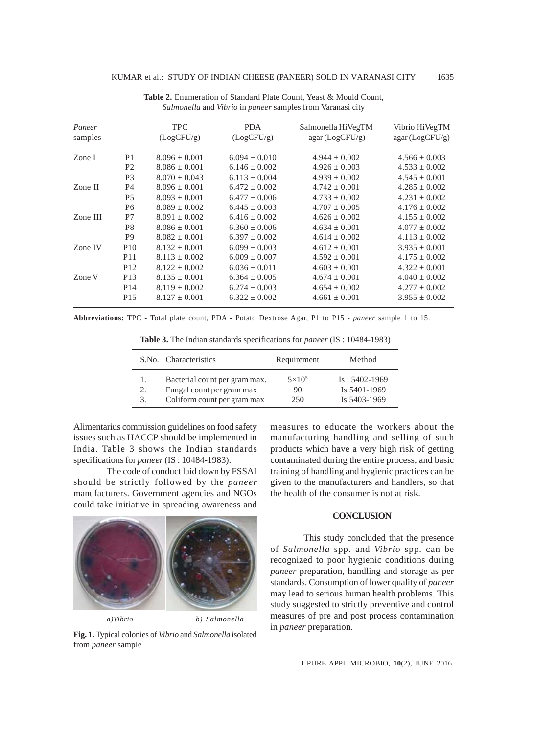| Paneer<br>samples |                 | <b>TPC</b><br>(LogCFU/g) | <b>PDA</b><br>(LogCFU/g) | Salmonella HiVegTM<br>agar (LogCFU/g) | Vibrio HiVegTM<br>agar (LogCFU/g) |
|-------------------|-----------------|--------------------------|--------------------------|---------------------------------------|-----------------------------------|
| Zone I            | P <sub>1</sub>  | $8.096 + 0.001$          | $6.094 + 0.010$          | $4.944 \pm 0.002$                     | $4.566 \pm 0.003$                 |
|                   | P <sub>2</sub>  | $8.086 + 0.001$          | $6.146 \pm 0.002$        | $4.926 + 0.003$                       | $4.533 \pm 0.002$                 |
|                   | P <sub>3</sub>  | $8.070 + 0.043$          | $6.113 \pm 0.004$        | $4.939 \pm 0.002$                     | $4.545 \pm 0.001$                 |
| Zone II           | P <sub>4</sub>  | $8.096 + 0.001$          | $6.472 + 0.002$          | $4.742 + 0.001$                       | $4.285 + 0.002$                   |
|                   | <b>P5</b>       | $8.093 + 0.001$          | $6.477 + 0.006$          | $4.733 + 0.002$                       | $4.231 + 0.002$                   |
|                   | P <sub>6</sub>  | $8.089 + 0.002$          | $6.445 + 0.003$          | $4.707 + 0.005$                       | $4.176 + 0.002$                   |
| Zone III          | P7              | $8.091 + 0.002$          | $6.416 + 0.002$          | $4.626 + 0.002$                       | $4.155 + 0.002$                   |
|                   | P8              | $8.086 + 0.001$          | $6.360 + 0.006$          | $4.634 \pm 0.001$                     | $4.077 \pm 0.002$                 |
|                   | P <sub>9</sub>  | $8.082 + 0.001$          | $6.397 + 0.002$          | $4.614 + 0.002$                       | $4.113 + 0.002$                   |
| Zone IV           | P <sub>10</sub> | $8.132 + 0.001$          | $6.099 + 0.003$          | $4.612 + 0.001$                       | $3.935 + 0.001$                   |
|                   | P <sub>11</sub> | $8.113 + 0.002$          | $6.009 + 0.007$          | $4.592 + 0.001$                       | $4.175 + 0.002$                   |
|                   | P <sub>12</sub> | $8.122 + 0.002$          | $6.036 + 0.011$          | $4.603 + 0.001$                       | $4.322 + 0.001$                   |
| Zone V            | P <sub>13</sub> | $8.135 + 0.001$          | $6.364 \pm 0.005$        | $4.674 \pm 0.001$                     | $4.040 \pm 0.002$                 |
|                   | P <sub>14</sub> | $8.119 + 0.002$          | $6.274 + 0.003$          | $4.654 + 0.002$                       | $4.277 + 0.002$                   |
|                   | P <sub>15</sub> | $8.127 + 0.001$          | $6.322 + 0.002$          | $4.661 \pm 0.001$                     | $3.955 \pm 0.002$                 |

**Table 2.** Enumeration of Standard Plate Count, Yeast & Mould Count, *Salmonella* and *Vibrio* in *paneer* samples from Varanasi city

**Abbreviations:** TPC - Total plate count, PDA - Potato Dextrose Agar, P1 to P15 - *paneer* sample 1 to 15.

|    | S.No. Characteristics         | Requirement   | Method          |
|----|-------------------------------|---------------|-----------------|
| 1. | Bacterial count per gram max. | $5\times10^5$ | $Is: 5402-1969$ |
| 2. | Fungal count per gram max     | 90            | Is:5401-1969    |
| 3. | Coliform count per gram max   | 250           | Is:5403-1969    |

**Table 3.** The Indian standards specifications for *paneer* (IS : 10484-1983)

Alimentarius commission guidelines on food safety issues such as HACCP should be implemented in India. Table 3 shows the Indian standards specifications for *paneer* (IS : 10484-1983).

The code of conduct laid down by FSSAI should be strictly followed by the *paneer* manufacturers. Government agencies and NGOs could take initiative in spreading awareness and



in *paneer* preparation. **Fig. 1.** Typical colonies of *Vibrio* and *Salmonella* isolated from *paneer* sample

measures to educate the workers about the manufacturing handling and selling of such products which have a very high risk of getting contaminated during the entire process, and basic training of handling and hygienic practices can be given to the manufacturers and handlers, so that the health of the consumer is not at risk.

## **CONCLUSION**

This study concluded that the presence of *Salmonella* spp. and *Vibrio* spp. can be recognized to poor hygienic conditions during *paneer* preparation, handling and storage as per standards. Consumption of lower quality of *paneer* may lead to serious human health problems. This study suggested to strictly preventive and control measures of pre and post process contamination